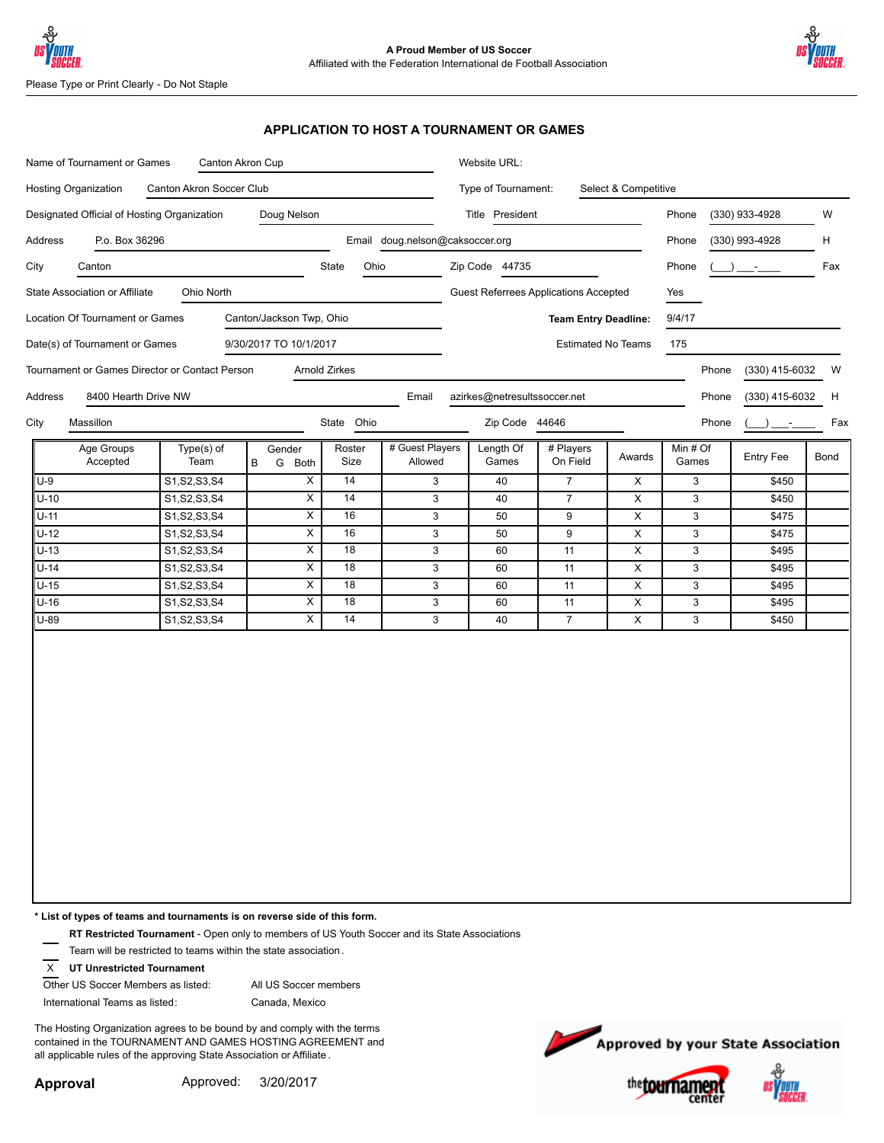



Please Type or Print Clearly - Do Not Staple

### **APPLICATION TO HOST A TOURNAMENT OR GAMES**

|                                                             |                                                              |             | Name of Tournament or Games<br>Canton Akron Cup |                 |                            |                                              |                       | Website URL:            |                         |                         |                |      |  |  |  |
|-------------------------------------------------------------|--------------------------------------------------------------|-------------|-------------------------------------------------|-----------------|----------------------------|----------------------------------------------|-----------------------|-------------------------|-------------------------|-------------------------|----------------|------|--|--|--|
|                                                             | Hosting Organization<br>Canton Akron Soccer Club             |             |                                                 |                 |                            | Type of Tournament:<br>Select & Competitive  |                       |                         |                         |                         |                |      |  |  |  |
|                                                             | Doug Nelson<br>Designated Official of Hosting Organization   |             |                                                 |                 |                            | Title President                              |                       |                         | (330) 933-4928<br>Phone |                         |                | W    |  |  |  |
|                                                             | Email doug.nelson@caksoccer.org<br>Address<br>P.o. Box 36296 |             |                                                 |                 |                            |                                              |                       |                         |                         | Phone<br>(330) 993-4928 |                |      |  |  |  |
| City<br>Canton                                              |                                                              |             | State                                           | Ohio            |                            | Zip Code 44735                               |                       |                         | Phone                   |                         |                | Fax  |  |  |  |
| State Association or Affiliate<br>Ohio North                |                                                              |             |                                                 |                 |                            | <b>Guest Referrees Applications Accepted</b> |                       |                         |                         |                         |                |      |  |  |  |
| Location Of Tournament or Games<br>Canton/Jackson Twp, Ohio |                                                              |             |                                                 |                 |                            | <b>Team Entry Deadline:</b>                  |                       |                         |                         | Yes<br>9/4/17           |                |      |  |  |  |
| Date(s) of Tournament or Games<br>9/30/2017 TO 10/1/2017    |                                                              |             |                                                 |                 |                            | <b>Estimated No Teams</b>                    |                       |                         |                         | 175                     |                |      |  |  |  |
|                                                             | Tournament or Games Director or Contact Person               |             | Arnold Zirkes                                   |                 |                            |                                              |                       |                         |                         | Phone                   | (330) 415-6032 | W    |  |  |  |
| Address                                                     | 8400 Hearth Drive NW                                         |             |                                                 |                 | Email                      | azirkes@netresultssoccer.net                 |                       |                         |                         | Phone                   | (330) 415-6032 | H    |  |  |  |
| Massillon                                                   |                                                              |             |                                                 | State Ohio      |                            | Zip Code 44646                               |                       |                         |                         | Phone                   |                | Fax  |  |  |  |
| City                                                        |                                                              |             |                                                 |                 |                            |                                              |                       |                         |                         |                         |                |      |  |  |  |
| Age Groups<br>Accepted                                      | Type(s) of<br>Team                                           | Gender<br>B | G Both                                          | Roster<br>Size  | # Guest Players<br>Allowed | Length Of<br>Games                           | # Players<br>On Field | Awards                  | Min # Of<br>Games       |                         | Entry Fee      | Bond |  |  |  |
| $U-9$                                                       | S1, S2, S3, S4                                               |             | X                                               | 14              | $\mathbf{3}$               | 40                                           | $\overline{7}$        | X                       | $\mathbf{3}$            |                         | \$450          |      |  |  |  |
| $U-10$                                                      | S1, S2, S3, S4                                               |             | $\overline{\mathsf{x}}$                         | 14              | $\mathbf{3}$               | 40                                           | $\overline{7}$        | X                       | 3                       |                         | \$450          |      |  |  |  |
| $U-11$                                                      | S1, S2, S3, S4                                               |             | $\overline{\mathsf{x}}$                         | 16              | $\overline{3}$             | 50                                           | $\boldsymbol{9}$      | $\overline{\mathsf{x}}$ | $\overline{3}$          |                         | \$475          |      |  |  |  |
| $U-12$                                                      | S1, S2, S3, S4                                               |             | $\overline{\mathsf{x}}$                         | 16              | $\mathbf 3$                | 50                                           | $\boldsymbol{9}$      | X                       | $\mathsf 3$             |                         | \$475          |      |  |  |  |
| $U-13$                                                      | S1, S2, S3, S4                                               |             | $\overline{x}$                                  | 18              | $\mathbf{3}$               | 60                                           | 11                    | X                       | $\mathsf 3$             |                         | \$495          |      |  |  |  |
| $U-14$                                                      | S1, S2, S3, S4                                               |             | $\overline{X}$                                  | 18              | $\mathbf{3}$               | 60                                           | 11                    | X                       | $\mathsf 3$             |                         | \$495          |      |  |  |  |
| $U-15$                                                      | S1, S2, S3, S4                                               |             | X                                               | $\overline{18}$ | $\mathbf{3}$               | 60                                           | 11                    | X                       | $\mathsf 3$             |                         | \$495          |      |  |  |  |
| U-16                                                        | S1, S2, S3, S4                                               |             | $\overline{\mathsf{x}}$                         | 18              | $\mathbf{3}$               | 60                                           | 11                    | X                       | $\mathbf{3}$            |                         | \$495          |      |  |  |  |
| U-89                                                        | S1, S2, S3, S4                                               |             | X                                               | 14              | $\mathbf{3}$               | 40                                           | $\overline{7}$        | X                       | 3                       |                         | \$450          |      |  |  |  |

**\* List of types of teams and tournaments is on reverse side of this form.**

**RT Restricted Tournament** - Open only to members of US Youth Soccer and its State Associations

Team will be restricted to teams within the state association .

X **UT Unrestricted Tournament**

Other US Soccer Members as listed: All US Soccer members

International Teams as listed:

Canada, Mexico

The Hosting Organization agrees to be bound by and comply with the terms contained in the TOURNAMENT AND GAMES HOSTING AGREEMENT and all applicable rules of the approving State Association or Affiliate .



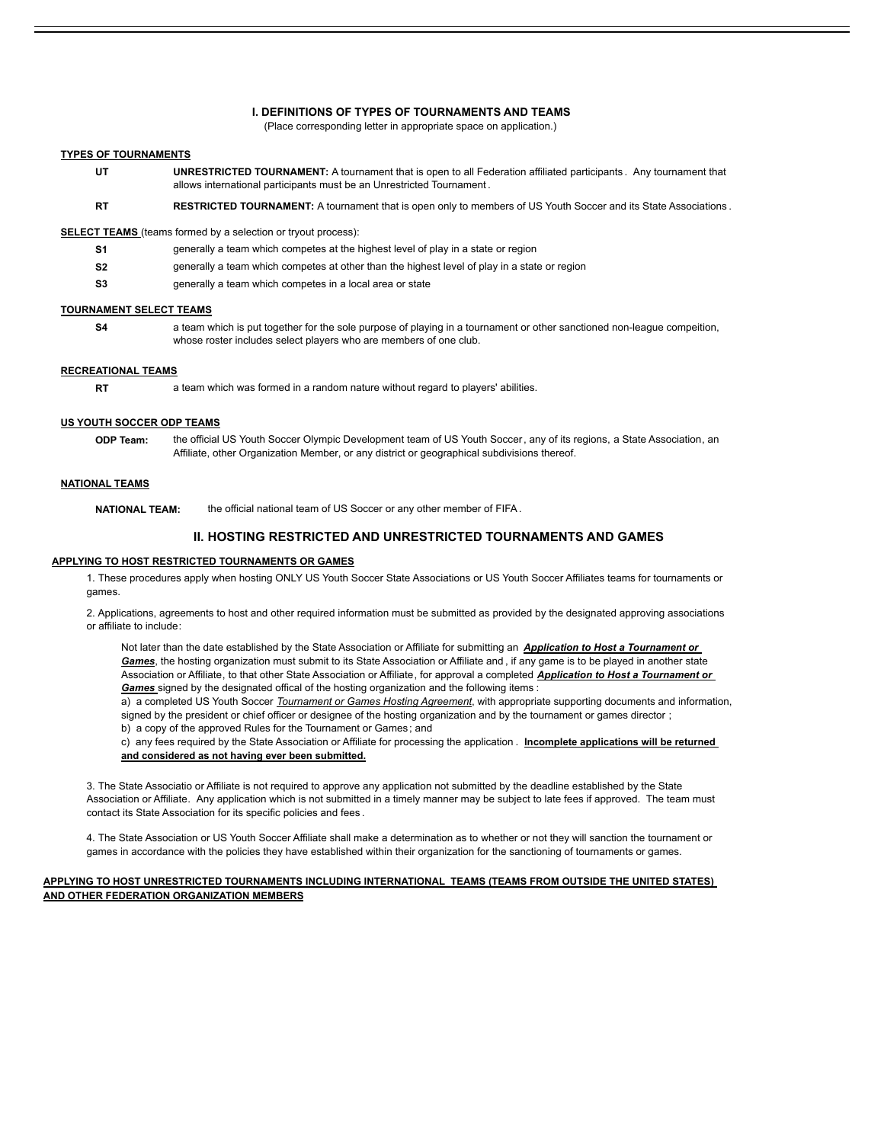#### **I. DEFINITIONS OF TYPES OF TOURNAMENTS AND TEAMS**

(Place corresponding letter in appropriate space on application.)

#### **TYPES OF TOURNAMENTS**

- **UT UNRESTRICTED TOURNAMENT:** A tournament that is open to all Federation affiliated participants . Any tournament that allows international participants must be an Unrestricted Tournament .
- **RT RESTRICTED TOURNAMENT:** A tournament that is open only to members of US Youth Soccer and its State Associations .

**SELECT TEAMS** (teams formed by a selection or tryout process):

- **S1** generally a team which competes at the highest level of play in a state or region
- **S2** generally a team which competes at other than the highest level of play in a state or region
- **S3** generally a team which competes in a local area or state

#### **TOURNAMENT SELECT TEAMS**

a team which is put together for the sole purpose of playing in a tournament or other sanctioned non-league compeition, **S4** whose roster includes select players who are members of one club.

#### **RECREATIONAL TEAMS**

**RT** a team which was formed in a random nature without regard to players' abilities.

#### **US YOUTH SOCCER ODP TEAMS**

**ODP Team:** the official US Youth Soccer Olympic Development team of US Youth Soccer, any of its regions, a State Association, an Affiliate, other Organization Member, or any district or geographical subdivisions thereof.

#### **NATIONAL TEAMS**

**NATIONAL TEAM:** the official national team of US Soccer or any other member of FIFA.

#### **II. HOSTING RESTRICTED AND UNRESTRICTED TOURNAMENTS AND GAMES**

#### **APPLYING TO HOST RESTRICTED TOURNAMENTS OR GAMES**

1. These procedures apply when hosting ONLY US Youth Soccer State Associations or US Youth Soccer Affiliates teams for tournaments or games.

2. Applications, agreements to host and other required information must be submitted as provided by the designated approving associations or affiliate to include:

Not later than the date established by the State Association or Affiliate for submitting an *Application to Host a Tournament or Games*, the hosting organization must submit to its State Association or Affiliate and , if any game is to be played in another state Association or Affiliate, to that other State Association or Affiliate, for approval a completed *Application to Host a Tournament or Games* signed by the designated offical of the hosting organization and the following items :

a) a completed US Youth Soccer *Tournament or Games Hosting Agreement*, with appropriate supporting documents and information, signed by the president or chief officer or designee of the hosting organization and by the tournament or games director ; b) a copy of the approved Rules for the Tournament or Games ; and

c) any fees required by the State Association or Affiliate for processing the application . **Incomplete applications will be returned and considered as not having ever been submitted.**

3. The State Associatio or Affiliate is not required to approve any application not submitted by the deadline established by the State Association or Affiliate. Any application which is not submitted in a timely manner may be subject to late fees if approved. The team must contact its State Association for its specific policies and fees .

4. The State Association or US Youth Soccer Affiliate shall make a determination as to whether or not they will sanction the tournament or games in accordance with the policies they have established within their organization for the sanctioning of tournaments or games.

#### **APPLYING TO HOST UNRESTRICTED TOURNAMENTS INCLUDING INTERNATIONAL TEAMS (TEAMS FROM OUTSIDE THE UNITED STATES) AND OTHER FEDERATION ORGANIZATION MEMBERS**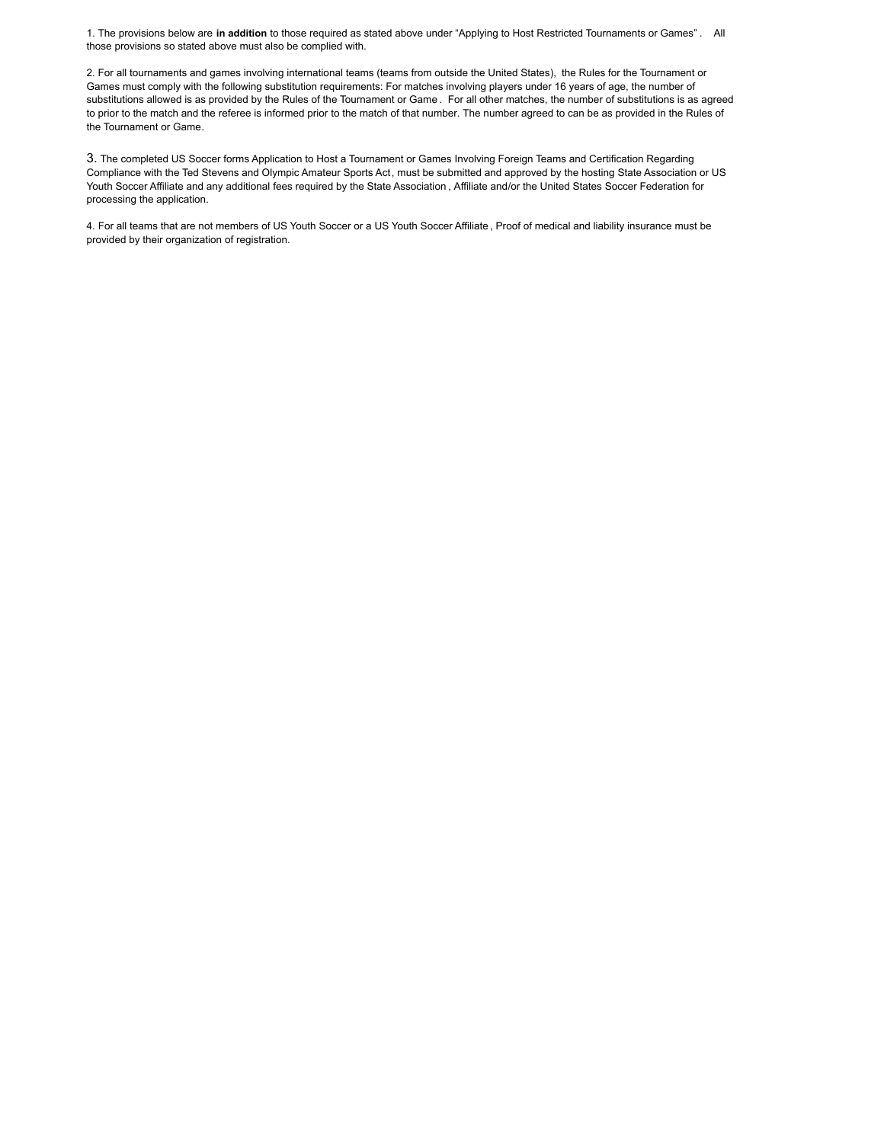1. The provisions below are **in addition** to those required as stated above under "Applying to Host Restricted Tournaments or Games" . All those provisions so stated above must also be complied with.

2. For all tournaments and games involving international teams (teams from outside the United States), the Rules for the Tournament or Games must comply with the following substitution requirements: For matches involving players under 16 years of age, the number of substitutions allowed is as provided by the Rules of the Tournament or Game . For all other matches, the number of substitutions is as agreed to prior to the match and the referee is informed prior to the match of that number. The number agreed to can be as provided in the Rules of the Tournament or Game.

3. The completed US Soccer forms Application to Host a Tournament or Games Involving Foreign Teams and Certification Regarding Compliance with the Ted Stevens and Olympic Amateur Sports Act, must be submitted and approved by the hosting State Association or US Youth Soccer Affiliate and any additional fees required by the State Association , Affiliate and/or the United States Soccer Federation for processing the application.

4. For all teams that are not members of US Youth Soccer or a US Youth Soccer Affiliate , Proof of medical and liability insurance must be provided by their organization of registration.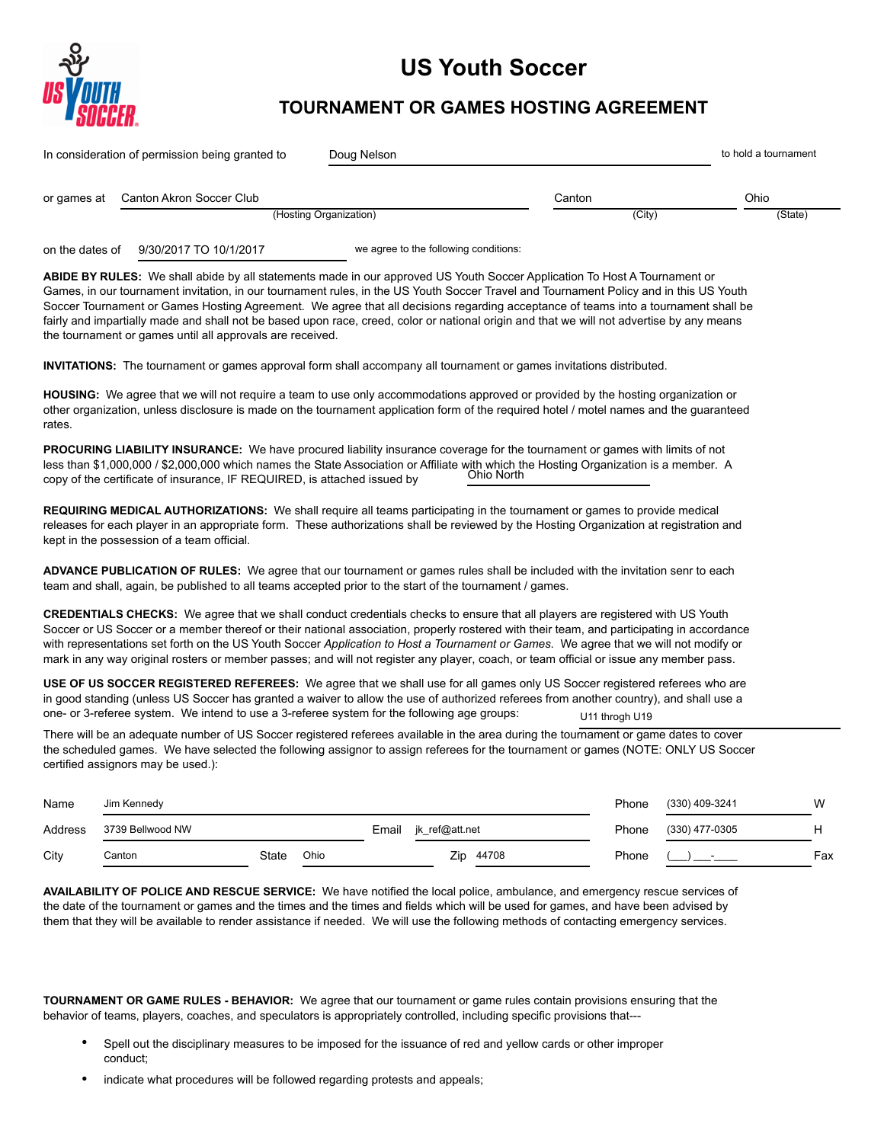

# **US Youth Soccer**

## **TOURNAMENT OR GAMES HOSTING AGREEMENT**

|                 | In consideration of permission being granted to                                                                                                                                                                                                                                                                                                                                                                                                                                                                                                                                                                     |                        | Doug Nelson |                                       |                |                | to hold a tournament |
|-----------------|---------------------------------------------------------------------------------------------------------------------------------------------------------------------------------------------------------------------------------------------------------------------------------------------------------------------------------------------------------------------------------------------------------------------------------------------------------------------------------------------------------------------------------------------------------------------------------------------------------------------|------------------------|-------------|---------------------------------------|----------------|----------------|----------------------|
| or games at     | Canton Akron Soccer Club                                                                                                                                                                                                                                                                                                                                                                                                                                                                                                                                                                                            |                        |             |                                       | Canton         |                | Ohio                 |
|                 |                                                                                                                                                                                                                                                                                                                                                                                                                                                                                                                                                                                                                     | (Hosting Organization) |             |                                       | (City)         |                | (State)              |
| on the dates of | 9/30/2017 TO 10/1/2017                                                                                                                                                                                                                                                                                                                                                                                                                                                                                                                                                                                              |                        |             | we agree to the following conditions: |                |                |                      |
|                 | ABIDE BY RULES: We shall abide by all statements made in our approved US Youth Soccer Application To Host A Tournament or<br>Games, in our tournament invitation, in our tournament rules, in the US Youth Soccer Travel and Tournament Policy and in this US Youth<br>Soccer Tournament or Games Hosting Agreement. We agree that all decisions regarding acceptance of teams into a tournament shall be<br>fairly and impartially made and shall not be based upon race, creed, color or national origin and that we will not advertise by any means<br>the tournament or games until all approvals are received. |                        |             |                                       |                |                |                      |
|                 | <b>INVITATIONS:</b> The tournament or games approval form shall accompany all tournament or games invitations distributed.                                                                                                                                                                                                                                                                                                                                                                                                                                                                                          |                        |             |                                       |                |                |                      |
| rates.          | HOUSING: We agree that we will not require a team to use only accommodations approved or provided by the hosting organization or<br>other organization, unless disclosure is made on the tournament application form of the required hotel / motel names and the guaranteed                                                                                                                                                                                                                                                                                                                                         |                        |             |                                       |                |                |                      |
|                 | PROCURING LIABILITY INSURANCE: We have procured liability insurance coverage for the tournament or games with limits of not<br>less than \$1,000,000 / \$2,000,000 which names the State Association or Affiliate with which the Hosting Organization is a member. A<br>copy of the certificate of insurance, IF REQUIRED, is attached issued by                                                                                                                                                                                                                                                                    |                        |             | Ohio North                            |                |                |                      |
|                 | REQUIRING MEDICAL AUTHORIZATIONS: We shall require all teams participating in the tournament or games to provide medical<br>releases for each player in an appropriate form. These authorizations shall be reviewed by the Hosting Organization at registration and<br>kept in the possession of a team official.                                                                                                                                                                                                                                                                                                   |                        |             |                                       |                |                |                      |
|                 | ADVANCE PUBLICATION OF RULES: We agree that our tournament or games rules shall be included with the invitation senr to each<br>team and shall, again, be published to all teams accepted prior to the start of the tournament / games.                                                                                                                                                                                                                                                                                                                                                                             |                        |             |                                       |                |                |                      |
|                 | CREDENTIALS CHECKS: We agree that we shall conduct credentials checks to ensure that all players are registered with US Youth<br>Soccer or US Soccer or a member thereof or their national association, properly rostered with their team, and participating in accordance<br>with representations set forth on the US Youth Soccer Application to Host a Tournament or Games. We agree that we will not modify or<br>mark in any way original rosters or member passes; and will not register any player, coach, or team official or issue any member pass.                                                        |                        |             |                                       |                |                |                      |
|                 | USE OF US SOCCER REGISTERED REFEREES: We agree that we shall use for all games only US Soccer registered referees who are<br>in good standing (unless US Soccer has granted a waiver to allow the use of authorized referees from another country), and shall use a<br>one- or 3-referee system. We intend to use a 3-referee system for the following age groups:                                                                                                                                                                                                                                                  |                        |             |                                       | U11 throgh U19 |                |                      |
|                 | There will be an adequate number of US Soccer registered referees available in the area during the tournament or game dates to cover<br>the scheduled games. We have selected the following assignor to assign referees for the tournament or games (NOTE: ONLY US Soccer<br>certified assignors may be used.):                                                                                                                                                                                                                                                                                                     |                        |             |                                       |                |                |                      |
| Name            | Jim Kennedy                                                                                                                                                                                                                                                                                                                                                                                                                                                                                                                                                                                                         |                        |             |                                       | Phone          | (330) 409-3241 | W                    |
| Address         | 3739 Bellwood NW                                                                                                                                                                                                                                                                                                                                                                                                                                                                                                                                                                                                    |                        | Email       | jk_ref@att.net                        | Phone          | (330) 477-0305 | н                    |
| City            | Canton                                                                                                                                                                                                                                                                                                                                                                                                                                                                                                                                                                                                              | Ohio<br>State          |             | Zip 44708                             | Phone          |                | Fax                  |
|                 | AVAILABILITY OF POLICE AND RESCUE SERVICE: We have notified the local police, ambulance, and emergency rescue services of<br>the date of the tournament or games and the times and the times and fields which will be used for games, and have been advised by<br>them that they will be available to render assistance if needed. We will use the following methods of contacting emergency services.                                                                                                                                                                                                              |                        |             |                                       |                |                |                      |
|                 | TOURNAMENT OR GAME RULES - BEHAVIOR: We agree that our tournament or game rules contain provisions ensuring that the<br>behavior of teams, players, coaches, and speculators is appropriately controlled, including specific provisions that---                                                                                                                                                                                                                                                                                                                                                                     |                        |             |                                       |                |                |                      |

- Spell out the disciplinary measures to be imposed for the issuance of red and yellow cards or other improper conduct;
- indicate what procedures will be followed regarding protests and appeals;